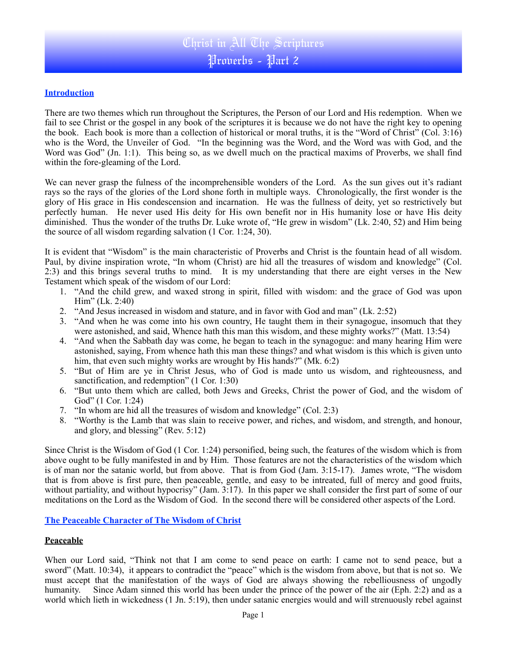## **Introduction**

There are two themes which run throughout the Scriptures, the Person of our Lord and His redemption. When we fail to see Christ or the gospel in any book of the scriptures it is because we do not have the right key to opening the book. Each book is more than a collection of historical or moral truths, it is the "Word of Christ" (Col. 3:16) who is the Word, the Unveiler of God. "In the beginning was the Word, and the Word was with God, and the Word was God" (Jn. 1:1). This being so, as we dwell much on the practical maxims of Proverbs, we shall find within the fore-gleaming of the Lord.

We can never grasp the fulness of the incomprehensible wonders of the Lord. As the sun gives out it's radiant rays so the rays of the glories of the Lord shone forth in multiple ways. Chronologically, the first wonder is the glory of His grace in His condescension and incarnation. He was the fullness of deity, yet so restrictively but perfectly human. He never used His deity for His own benefit nor in His humanity lose or have His deity diminished. Thus the wonder of the truths Dr. Luke wrote of, "He grew in wisdom" (Lk. 2:40, 52) and Him being the source of all wisdom regarding salvation (1 Cor. 1:24, 30).

It is evident that "Wisdom" is the main characteristic of Proverbs and Christ is the fountain head of all wisdom. Paul, by divine inspiration wrote, "In whom (Christ) are hid all the treasures of wisdom and knowledge" (Col. 2:3) and this brings several truths to mind. It is my understanding that there are eight verses in the New Testament which speak of the wisdom of our Lord:

- 1. "And the child grew, and waxed strong in spirit, filled with wisdom: and the grace of God was upon Him" (Lk. 2:40)
- 2. "And Jesus increased in wisdom and stature, and in favor with God and man" (Lk. 2:52)
- 3. "And when he was come into his own country, He taught them in their synagogue, insomuch that they were astonished, and said, Whence hath this man this wisdom, and these mighty works?" (Matt. 13:54)
- 4. "And when the Sabbath day was come, he began to teach in the synagogue: and many hearing Him were astonished, saying, From whence hath this man these things? and what wisdom is this which is given unto him, that even such mighty works are wrought by His hands?" (Mk. 6:2)
- 5. "But of Him are ye in Christ Jesus, who of God is made unto us wisdom, and righteousness, and sanctification, and redemption" (1 Cor. 1:30)
- 6. "But unto them which are called, both Jews and Greeks, Christ the power of God, and the wisdom of God" (1 Cor. 1:24)
- 7. "In whom are hid all the treasures of wisdom and knowledge" (Col. 2:3)
- 8. "Worthy is the Lamb that was slain to receive power, and riches, and wisdom, and strength, and honour, and glory, and blessing" (Rev. 5:12)

Since Christ is the Wisdom of God (1 Cor. 1:24) personified, being such, the features of the wisdom which is from above ought to be fully manifested in and by Him. Those features are not the characteristics of the wisdom which is of man nor the satanic world, but from above. That is from God (Jam. 3:15-17). James wrote, "The wisdom that is from above is first pure, then peaceable, gentle, and easy to be intreated, full of mercy and good fruits, without partiality, and without hypocrisy" (Jam. 3:17). In this paper we shall consider the first part of some of our meditations on the Lord as the Wisdom of God. In the second there will be considered other aspects of the Lord.

**The Peaceable Character of The Wisdom of Christ**

## **Peaceable**

When our Lord said, "Think not that I am come to send peace on earth: I came not to send peace, but a sword" (Matt. 10:34), it appears to contradict the "peace" which is the wisdom from above, but that is not so. We must accept that the manifestation of the ways of God are always showing the rebelliousness of ungodly humanity. Since Adam sinned this world has been under the prince of the power of the air (Eph. 2:2) and as a world which lieth in wickedness (1 Jn. 5:19), then under satanic energies would and will strenuously rebel against